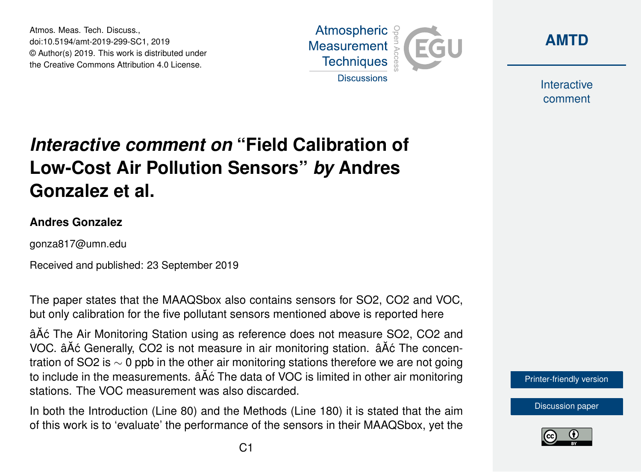Atmos. Meas. Tech. Discuss., doi:10.5194/amt-2019-299-SC1, 2019 © Author(s) 2019. This work is distributed under the Creative Commons Attribution 4.0 License.





Interactive comment

## *Interactive comment on* **"Field Calibration of Low-Cost Air Pollution Sensors"** *by* **Andres Gonzalez et al.**

## **Andres Gonzalez**

gonza817@umn.edu

Received and published: 23 September 2019

The paper states that the MAAQSbox also contains sensors for SO2, CO2 and VOC, but only calibration for the five pollutant sensors mentioned above is reported here

âĂć The Air Monitoring Station using as reference does not measure SO2, CO2 and VOC. âĂć Generally, CO2 is not measure in air monitoring station. âĂć The concentration of SO2 is  $\sim$  0 ppb in the other air monitoring stations therefore we are not going to include in the measurements.  $\tilde{a}$  A $\tilde{c}$  The data of VOC is limited in other air monitoring stations. The VOC measurement was also discarded.

In both the Introduction (Line 80) and the Methods (Line 180) it is stated that the aim of this work is to 'evaluate' the performance of the sensors in their MAAQSbox, yet the

[Printer-friendly version](https://www.atmos-meas-tech-discuss.net/amt-2019-299/amt-2019-299-SC1-print.pdf)

[Discussion paper](https://www.atmos-meas-tech-discuss.net/amt-2019-299)

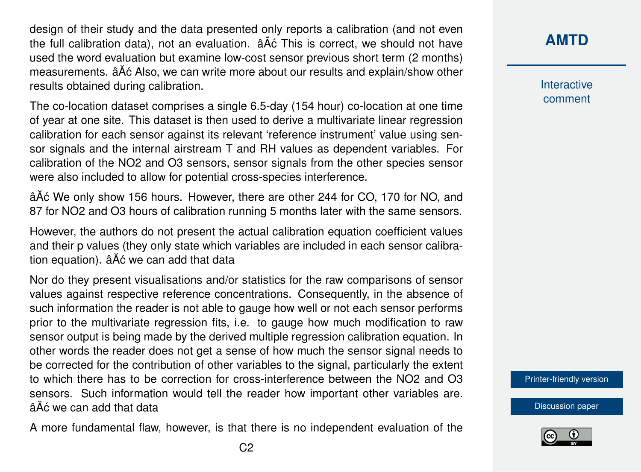design of their study and the data presented only reports a calibration (and not even the full calibration data), not an evaluation.  $\hat{a}$ Åć This is correct, we should not have used the word evaluation but examine low-cost sensor previous short term (2 months) measurements.  $\hat{a}\hat{A}\hat{c}$  Also, we can write more about our results and explain/show other results obtained during calibration.

The co-location dataset comprises a single 6.5-day (154 hour) co-location at one time of year at one site. This dataset is then used to derive a multivariate linear regression calibration for each sensor against its relevant 'reference instrument' value using sensor signals and the internal airstream T and RH values as dependent variables. For calibration of the NO2 and O3 sensors, sensor signals from the other species sensor were also included to allow for potential cross-species interference.

âAٌ c We only show 156 hours. However, there are other 244 for CO, 170 for NO, and 87 for NO2 and O3 hours of calibration running 5 months later with the same sensors.

However, the authors do not present the actual calibration equation coefficient values and their p values (they only state which variables are included in each sensor calibration equation).  $\hat{a}$ Åć we can add that data

Nor do they present visualisations and/or statistics for the raw comparisons of sensor values against respective reference concentrations. Consequently, in the absence of such information the reader is not able to gauge how well or not each sensor performs prior to the multivariate regression fits, i.e. to gauge how much modification to raw sensor output is being made by the derived multiple regression calibration equation. In other words the reader does not get a sense of how much the sensor signal needs to be corrected for the contribution of other variables to the signal, particularly the extent to which there has to be correction for cross-interference between the NO2 and O3 sensors. Such information would tell the reader how important other variables are.  $\tilde{A}$  $\tilde{A}$  $\tilde{C}$  we can add that data

A more fundamental flaw, however, is that there is no independent evaluation of the

**[AMTD](https://www.atmos-meas-tech-discuss.net/)**

Interactive comment

[Printer-friendly version](https://www.atmos-meas-tech-discuss.net/amt-2019-299/amt-2019-299-SC1-print.pdf)

[Discussion paper](https://www.atmos-meas-tech-discuss.net/amt-2019-299)

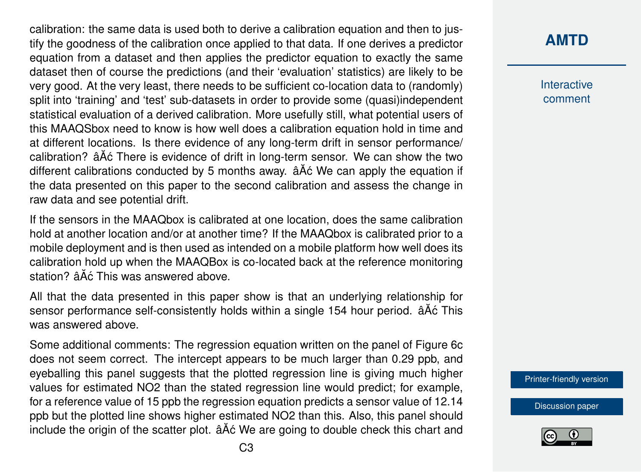calibration: the same data is used both to derive a calibration equation and then to justify the goodness of the calibration once applied to that data. If one derives a predictor equation from a dataset and then applies the predictor equation to exactly the same dataset then of course the predictions (and their 'evaluation' statistics) are likely to be very good. At the very least, there needs to be sufficient co-location data to (randomly) split into 'training' and 'test' sub-datasets in order to provide some (quasi)independent statistical evaluation of a derived calibration. More usefully still, what potential users of this MAAQSbox need to know is how well does a calibration equation hold in time and at different locations. Is there evidence of any long-term drift in sensor performance/ calibration?  $\hat{a}$ Åć There is evidence of drift in long-term sensor. We can show the two different calibrations conducted by 5 months away.  $\hat{a}$  A $\hat{c}$  We can apply the equation if the data presented on this paper to the second calibration and assess the change in raw data and see potential drift.

If the sensors in the MAAQbox is calibrated at one location, does the same calibration hold at another location and/or at another time? If the MAAQbox is calibrated prior to a mobile deployment and is then used as intended on a mobile platform how well does its calibration hold up when the MAAQBox is co-located back at the reference monitoring station? âĂć This was answered above.

All that the data presented in this paper show is that an underlying relationship for sensor performance self-consistently holds within a single 154 hour period.  $\hat{a}\hat{A}\hat{c}$  This was answered above.

Some additional comments: The regression equation written on the panel of Figure 6c does not seem correct. The intercept appears to be much larger than 0.29 ppb, and eyeballing this panel suggests that the plotted regression line is giving much higher values for estimated NO2 than the stated regression line would predict; for example, for a reference value of 15 ppb the regression equation predicts a sensor value of 12.14 ppb but the plotted line shows higher estimated NO2 than this. Also, this panel should include the origin of the scatter plot.  $\tilde{a}$  A $\tilde{c}$  We are going to double check this chart and

## **[AMTD](https://www.atmos-meas-tech-discuss.net/)**

Interactive comment

[Printer-friendly version](https://www.atmos-meas-tech-discuss.net/amt-2019-299/amt-2019-299-SC1-print.pdf)

[Discussion paper](https://www.atmos-meas-tech-discuss.net/amt-2019-299)